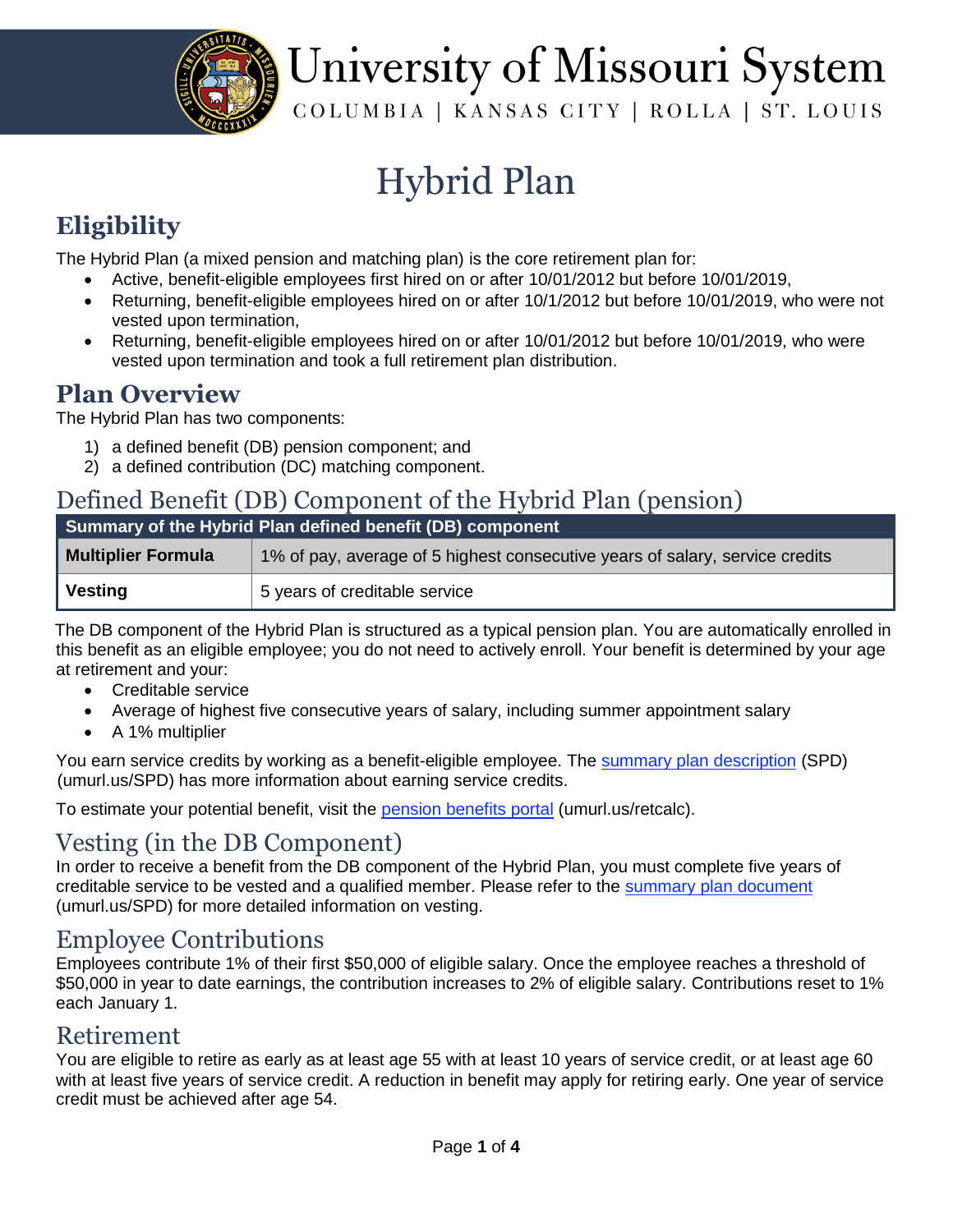

# University of Missouri System

COLUMBIA | KANSAS CITY | ROLLA | ST. LOUIS

### Hybrid Plan

#### **Eligibility**

The Hybrid Plan (a mixed pension and matching plan) is the core retirement plan for:

- Active, benefit-eligible employees first hired on or after 10/01/2012 but before 10/01/2019,
- Returning, benefit-eligible employees hired on or after 10/1/2012 but before 10/01/2019, who were not vested upon termination,
- Returning, benefit-eligible employees hired on or after 10/01/2012 but before 10/01/2019, who were vested upon termination and took a full retirement plan distribution.

#### **Plan Overview**

The Hybrid Plan has two components:

- 1) a defined benefit (DB) pension component; and
- 2) a defined contribution (DC) matching component.

#### Defined Benefit (DB) Component of the Hybrid Plan (pension)

| Summary of the Hybrid Plan defined benefit (DB) component |                                                                              |  |  |
|-----------------------------------------------------------|------------------------------------------------------------------------------|--|--|
| <b>Multiplier Formula</b>                                 | 1% of pay, average of 5 highest consecutive years of salary, service credits |  |  |
| Vesting                                                   | 5 years of creditable service                                                |  |  |

The DB component of the Hybrid Plan is structured as a typical pension plan. You are automatically enrolled in this benefit as an eligible employee; you do not need to actively enroll. Your benefit is determined by your age at retirement and your:

- Creditable service
- Average of highest five consecutive years of salary, including summer appointment salary
- A 1% multiplier

You earn service credits by working as a benefit-eligible employee. The [summary plan description](https://uminfopoint.umsystem.edu/sites/hr/Benefits/RETIRE/CURRENT/SPD-RDD1-VRP.pdf) (SPD) [\(u](http://www.umurl.us/spd)murl.us/SP[D\)](http://www.umurl.us/spd) has more information about earning service credits.

To estimate your potential benefit, visit the [pension benefits portal](https://www.umsystem.edu/totalrewards/retirement/retiree-estimate) (umurl.us/retcalc).

#### Vesting (in the DB Component)

In order to receive a benefit from the DB component of the Hybrid Plan, you must complete five years of creditable service to be vested and a qualified member. Please refer to the [summary plan document](file:///C:/Users/lymanc/AppData/Local/Microsoft/Windows/INetCache/Content.Outlook/3ONAQL1V/summary%20plan%20document) (umurl.us/SPD) for more detailed information on vesting.

#### Employee Contributions

Employees contribute 1% of their first \$50,000 of eligible salary. Once the employee reaches a threshold of \$50,000 in year to date earnings, the contribution increases to 2% of eligible salary. Contributions reset to 1% each January 1.

#### Retirement

You are eligible to retire as early as at least age 55 with at least 10 years of service credit, or at least age 60 with at least five years of service credit. A reduction in benefit may apply for retiring early. One year of service credit must be achieved after age 54.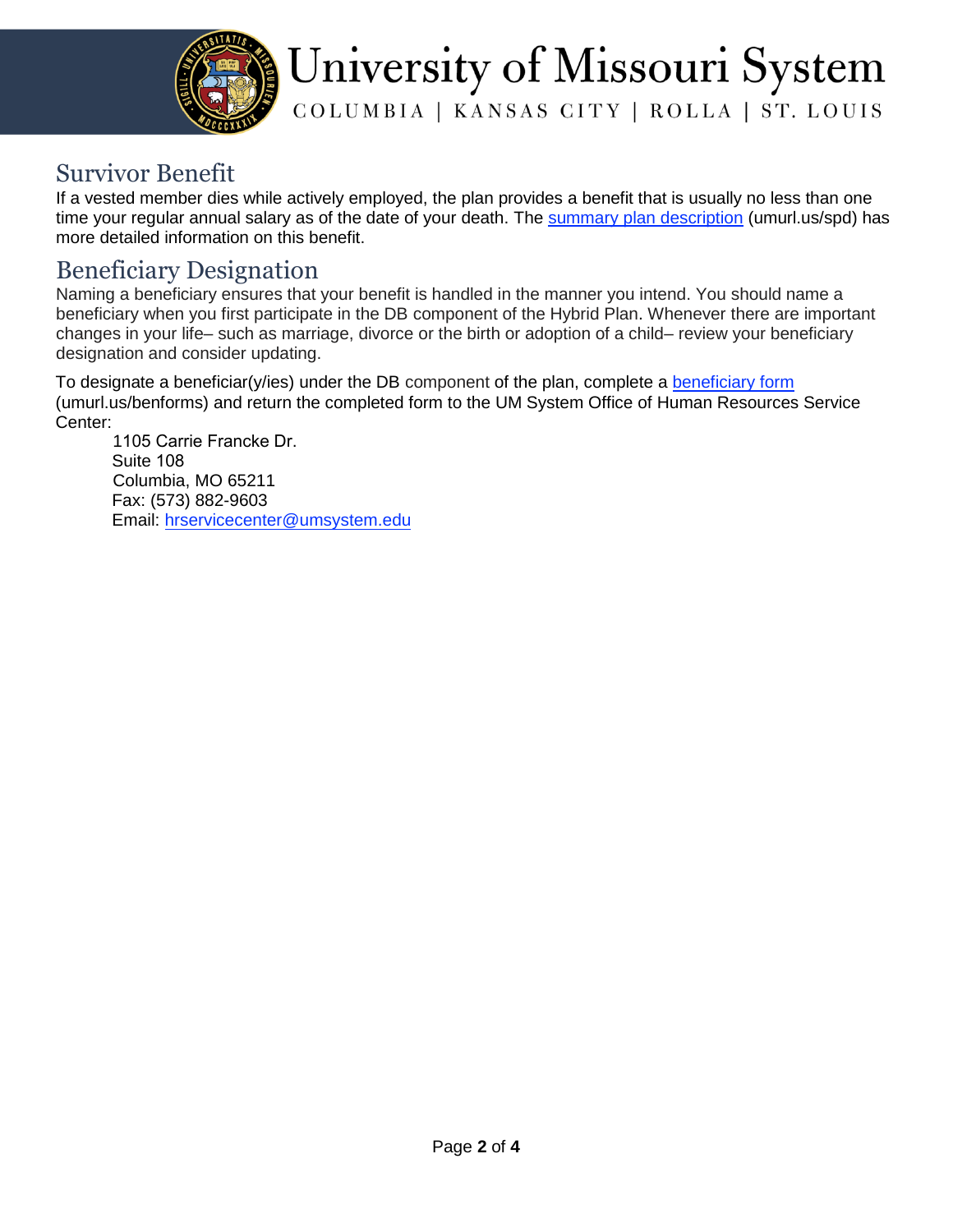

## University of Missouri System

COLUMBIA | KANSAS CITY | ROLLA | ST. LOUIS

#### Survivor Benefit

If a vested member dies while actively employed, the plan provides a benefit that is usually no less than one time your regular annual salary as of the date of your death. The [summary plan description](https://uminfopoint.umsystem.edu/sites/hr/Benefits/RETIRE/CURRENT/SPD-RDD1-VRP.pdfhttps:/uminfopoint.umsystem.edu/sites/hr/Benefits/RETIRE/CURRENT/SPD-RDD1-VRP.pdfsummary%20plan%20description) [\(umurl.us/spd\)](http://www.umurl.us/spd) has more detailed information on this benefit.

#### Beneficiary Designation

Naming a beneficiary ensures that your benefit is handled in the manner you intend. You should name a beneficiary when you first participate in the DB component of the Hybrid Plan. Whenever there are important changes in your life– such as marriage, divorce or the birth or adoption of a child– review your beneficiary designation and consider updating.

To designate a beneficiar(y/ies) under the DB component of the plan, complete a **beneficiary** form (umurl.us/benforms) and return the completed form to the UM System Office of Human Resources Service Center:

1105 Carrie Francke Dr. Suite 108 Columbia, MO 65211 Fax: (573) 882-9603 Email: [hrservicecenter@umsystem.edu](mailto:hrservicecenter@umsystem.edu)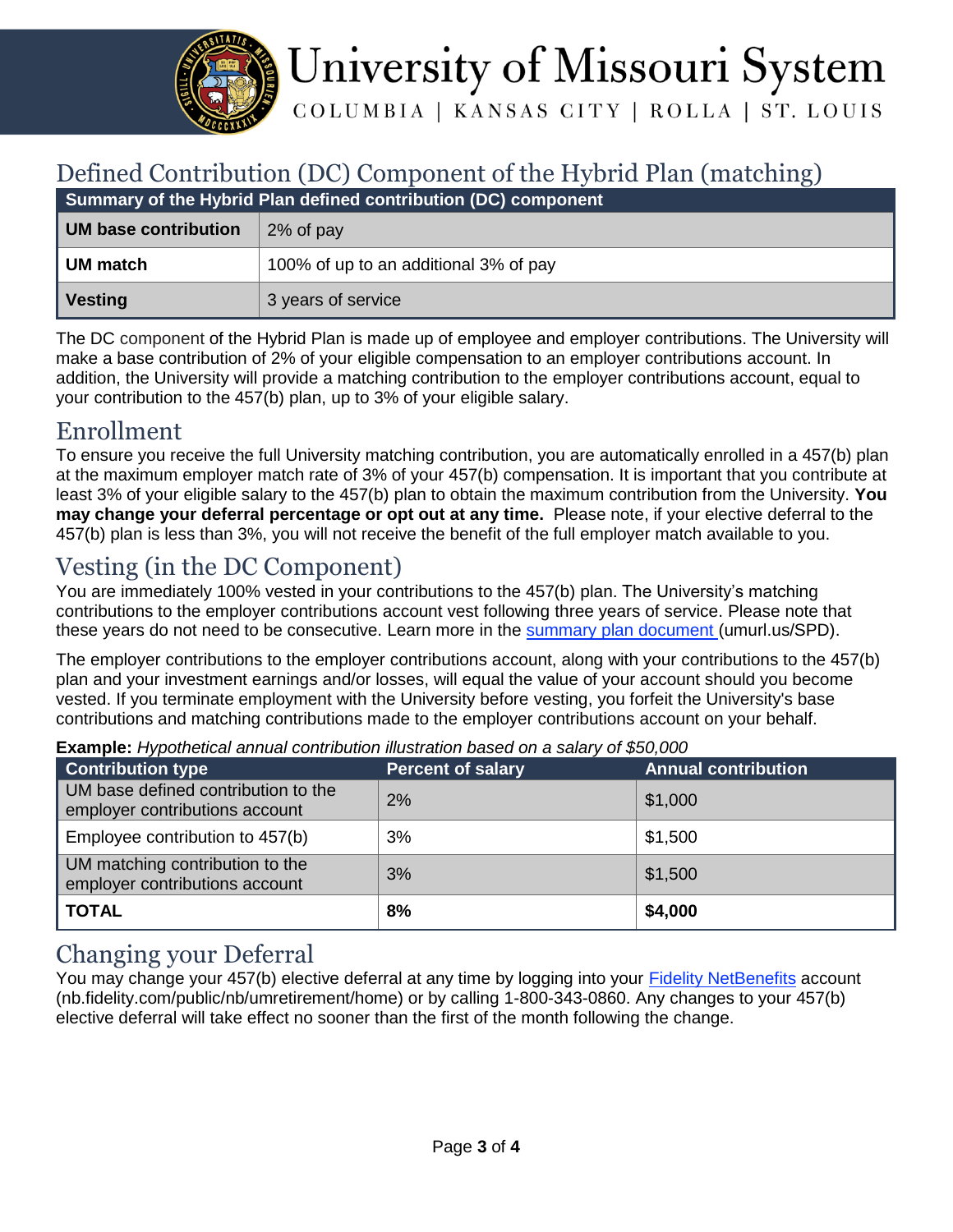

# University of Missouri System

COLUMBIA | KANSAS CITY | ROLLA | ST. LOUIS

#### Defined Contribution (DC) Component of the Hybrid Plan (matching)

| Summary of the Hybrid Plan defined contribution (DC) component |                                       |  |  |
|----------------------------------------------------------------|---------------------------------------|--|--|
| UM base contribution                                           | 2% of pay                             |  |  |
| UM match                                                       | 100% of up to an additional 3% of pay |  |  |
| Vesting                                                        | 3 years of service                    |  |  |

The DC component of the Hybrid Plan is made up of employee and employer contributions. The University will make a base contribution of 2% of your eligible compensation to an employer contributions account. In addition, the University will provide a matching contribution to the employer contributions account, equal to your contribution to the 457(b) plan, up to 3% of your eligible salary.

#### Enrollment

To ensure you receive the full University matching contribution, you are automatically enrolled in a 457(b) plan at the maximum employer match rate of 3% of your 457(b) compensation. It is important that you contribute at least 3% of your eligible salary to the 457(b) plan to obtain the maximum contribution from the University. **You may change your deferral percentage or opt out at any time.** Please note, if your elective deferral to the 457(b) plan is less than 3%, you will not receive the benefit of the full employer match available to you.

#### Vesting (in the DC Component)

You are immediately 100% vested in your contributions to the 457(b) plan. The University's matching contributions to the employer contributions account vest following three years of service. Please note that these years do not need to be consecutive. Learn more in the [summary plan document](file:///C:/Users/lymanc/AppData/Local/Microsoft/Windows/INetCache/Content.Outlook/3ONAQL1V/summary%20plan%20document) (umurl.us/SPD).

The employer contributions to the employer contributions account, along with your contributions to the 457(b) plan and your investment earnings and/or losses, will equal the value of your account should you become vested. If you terminate employment with the University before vesting, you forfeit the University's base contributions and matching contributions made to the employer contributions account on your behalf.

| <b>Contribution type</b>                                              | <b>Percent of salary</b> | <b>Annual contribution</b> |
|-----------------------------------------------------------------------|--------------------------|----------------------------|
| UM base defined contribution to the<br>employer contributions account | 2%                       | \$1,000                    |
| Employee contribution to 457(b)                                       | 3%                       | \$1,500                    |
| UM matching contribution to the<br>employer contributions account     | 3%                       | \$1,500                    |
| <b>TOTAL</b>                                                          | 8%                       | \$4,000                    |

**Example:** *Hypothetical annual contribution illustration based on a salary of \$50,000*

#### Changing your Deferral

You may change your 457(b) elective deferral at any time by logging into your **Fidelity NetBenefits** account (nb.fidelity.com/public/nb/umretirement/home) or by calling 1-800-343-0860. Any changes to your 457(b) elective deferral will take effect no sooner than the first of the month following the change.